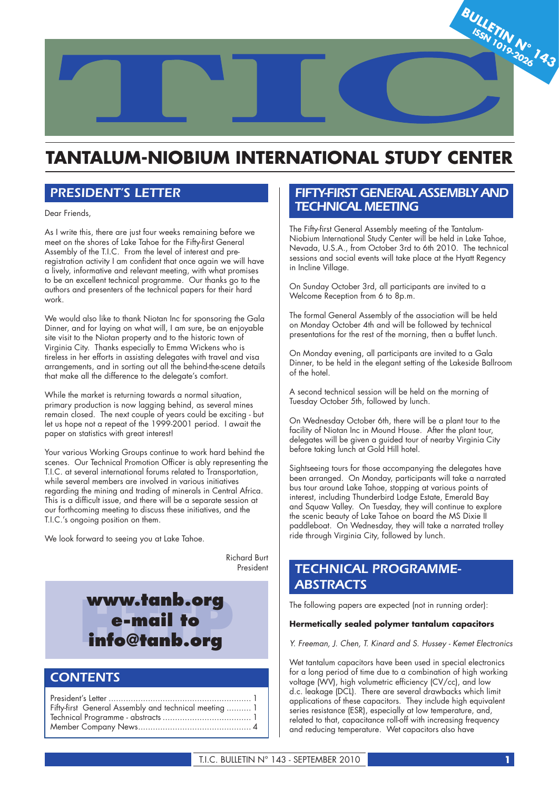

# **TANTALUM-NIOBIUM INTERNATIONAL STUDY CENTER**

# *PRESIDENT'S LETTER*

Dear Friends,

As I write this, there are just four weeks remaining before we meet on the shores of Lake Tahoe for the Fifty-first General Assembly of the T.I.C. From the level of interest and preregistration activity I am confident that once again we will have a lively, informative and relevant meeting, with what promises to be an excellent technical programme. Our thanks go to the authors and presenters of the technical papers for their hard work.

We would also like to thank Niotan Inc for sponsoring the Gala Dinner, and for laying on what will, I am sure, be an enjoyable site visit to the Niotan property and to the historic town of Virginia City. Thanks especially to Emma Wickens who is tireless in her efforts in assisting delegates with travel and visa arrangements, and in sorting out all the behind-the-scene details that make all the difference to the delegate's comfort.

While the market is returning towards a normal situation, primary production is now lagging behind, as several mines remain closed. The next couple of years could be exciting - but let us hope not a repeat of the 1999-2001 period. I await the paper on statistics with great interest!

Your various Working Groups continue to work hard behind the scenes. Our Technical Promotion Officer is ably representing the T.I.C. at several international forums related to Transportation, while several members are involved in various initiatives regarding the mining and trading of minerals in Central Africa. This is a difficult issue, and there will be a separate session at our forthcoming meeting to discuss these initiatives, and the T.I.C.'s ongoing position on them.

We look forward to seeing you at Lake Tahoe.

 Richard Burt President

www.tanb.org<br> **e-mail to<br>
info@tanb.org e-mail to** 

# *CONTENTS*

President's Letter .......................................................... 1 Fifty-first General Assembly and technical meeting .......... 1 Technical Programme - abstracts .................................... 1 Member Company News .............................................. 4

# *FIFTY-FIRST GENERAL ASSEMBLY AND TECHNICAL MEETING*

The Fifty-first General Assembly meeting of the Tantalum-Niobium International Study Center will be held in Lake Tahoe, Nevada, U.S.A., from October 3rd to 6th 2010. The technical sessions and social events will take place at the Hyatt Regency in Incline Village.

On Sunday October 3rd, all participants are invited to a Welcome Reception from 6 to 8p.m.

The formal General Assembly of the association will be held on Monday October 4th and will be followed by technical presentations for the rest of the morning, then a buffet lunch.

On Monday evening, all participants are invited to a Gala Dinner, to be held in the elegant setting of the Lakeside Ballroom of the hotel.

A second technical session will be held on the morning of Tuesday October 5th, followed by lunch.

On Wednesday October 6th, there will be a plant tour to the facility of Niotan Inc in Mound House. After the plant tour, delegates will be given a guided tour of nearby Virginia City before taking lunch at Gold Hill hotel.

Sightseeing tours for those accompanying the delegates have been arranged. On Monday, participants will take a narrated bus tour around Lake Tahoe, stopping at various points of interest, including Thunderbird Lodge Estate, Emerald Bay and Squaw Valley. On Tuesday, they will continue to explore the scenic beauty of Lake Tahoe on board the MS Dixie II paddleboat. On Wednesday, they will take a narrated trolley ride through Virginia City, followed by lunch.

# *TECHNICAL PROGRAMME-ABSTRACTS*

The following papers are expected (not in running order):

#### **Hermetically sealed polymer tantalum capacitors**

*Y. Freeman, J. Chen, T. Kinard and S. Hussey - Kemet Electronics*

Wet tantalum capacitors have been used in special electronics for a long period of time due to a combination of high working voltage (WV), high volumetric efficiency (CV/cc), and low d.c. leakage (DCL). There are several drawbacks which limit applications of these capacitors. They include high equivalent series resistance (ESR), especially at low temperature, and, related to that, capacitance roll-off with increasing frequency and reducing temperature. Wet capacitors also have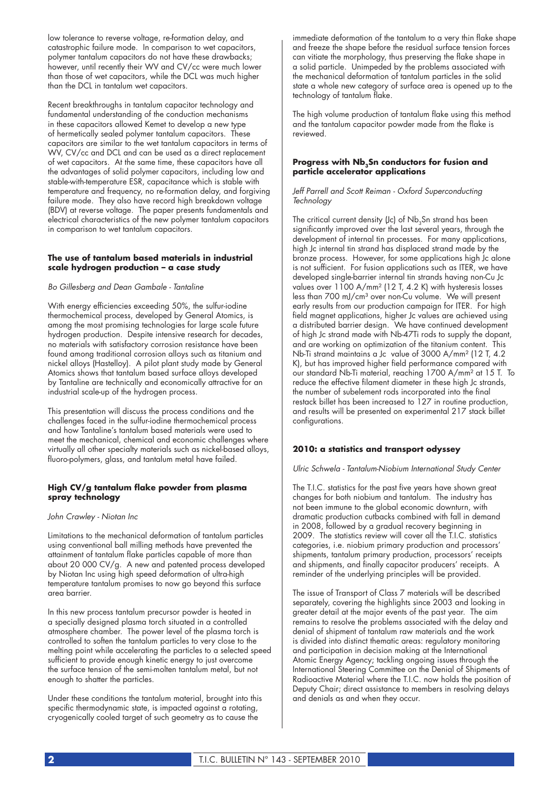low tolerance to reverse voltage, re-formation delay, and catastrophic failure mode. In comparison to wet capacitors, polymer tantalum capacitors do not have these drawbacks; however, until recently their WV and CV/cc were much lower than those of wet capacitors, while the DCL was much higher than the DCL in tantalum wet capacitors.

Recent breakthroughs in tantalum capacitor technology and fundamental understanding of the conduction mechanisms in these capacitors allowed Kemet to develop a new type of hermetically sealed polymer tantalum capacitors. These capacitors are similar to the wet tantalum capacitors in terms of WV, CV/cc and DCL and can be used as a direct replacement of wet capacitors. At the same time, these capacitors have all the advantages of solid polymer capacitors, including low and stable-with-temperature ESR, capacitance which is stable with temperature and frequency, no re-formation delay, and forgiving failure mode. They also have record high breakdown voltage (BDV) at reverse voltage. The paper presents fundamentals and electrical characteristics of the new polymer tantalum capacitors in comparison to wet tantalum capacitors.

#### **The use of tantalum based materials in industrial scale hydrogen production – a case study**

#### *Bo Gillesberg and Dean Gambale - Tantaline*

With energy efficiencies exceeding 50%, the sulfur-iodine thermochemical process, developed by General Atomics, is among the most promising technologies for large scale future hydrogen production. Despite intensive research for decades, no materials with satisfactory corrosion resistance have been found among traditional corrosion alloys such as titanium and nickel alloys (Hastelloy). A pilot plant study made by General Atomics shows that tantalum based surface alloys developed by Tantaline are technically and economically attractive for an industrial scale-up of the hydrogen process.

This presentation will discuss the process conditions and the challenges faced in the sulfur-iodine thermochemical process and how Tantaline's tantalum based materials were used to meet the mechanical, chemical and economic challenges where virtually all other specialty materials such as nickel-based alloys, fluoro-polymers, glass, and tantalum metal have failed.

#### **High CV/g tantalum flake powder from plasma spray technology**

*John Crawley - Niotan Inc*

Limitations to the mechanical deformation of tantalum particles using conventional ball milling methods have prevented the attainment of tantalum flake particles capable of more than about 20 000 CV/g. A new and patented process developed by Niotan Inc using high speed deformation of ultra-high temperature tantalum promises to now go beyond this surface area barrier.

In this new process tantalum precursor powder is heated in a specially designed plasma torch situated in a controlled atmosphere chamber. The power level of the plasma torch is controlled to soften the tantalum particles to very close to the melting point while accelerating the particles to a selected speed sufficient to provide enough kinetic energy to just overcome the surface tension of the semi-molten tantalum metal, but not enough to shatter the particles.

Under these conditions the tantalum material, brought into this specific thermodynamic state, is impacted against a rotating, cryogenically cooled target of such geometry as to cause the

immediate deformation of the tantalum to a very thin flake shape and freeze the shape before the residual surface tension forces can vitiate the morphology, thus preserving the flake shape in a solid particle. Unimpeded by the problems associated with the mechanical deformation of tantalum particles in the solid state a whole new category of surface area is opened up to the technology of tantalum flake.

The high volume production of tantalum flake using this method and the tantalum capacitor powder made from the flake is reviewed.

#### Progress with Nb<sub>3</sub>Sn conductors for fusion and **particle accelerator applications**

#### *Jeff Parrell and Scott Reiman - Oxford Superconducting Technology*

The critical current density (Jc) of  $Nb<sub>3</sub>Sn$  strand has been significantly improved over the last several years, through the development of internal tin processes. For many applications, high Jc internal tin strand has displaced strand made by the bronze process. However, for some applications high Jc alone is not sufficient. For fusion applications such as ITER, we have developed single-barrier internal tin strands having non-Cu Jc values over 1100 A/mm² (12 T, 4.2 K) with hysteresis losses less than 700 mJ/cm<sup>3</sup> over non-Cu volume. We will present early results from our production campaign for ITER. For high field magnet applications, higher Jc values are achieved using a distributed barrier design. We have continued development of high Jc strand made with Nb-47Ti rods to supply the dopant, and are working on optimization of the titanium content. This Nb-Ti strand maintains a Jc value of 3000 A/mm² (12 T, 4.2 K), but has improved higher field performance compared with our standard Nb-Ti material, reaching 1700 A/mm² at 15 T. To reduce the effective filament diameter in these high Jc strands, the number of subelement rods incorporated into the final restack billet has been increased to 127 in routine production, and results will be presented on experimental 217 stack billet configurations.

# **2010: a statistics and transport odyssey**

*Ulric Schwela - Tantalum-Niobium International Study Center*

The T.I.C. statistics for the past five years have shown great changes for both niobium and tantalum. The industry has not been immune to the global economic downturn, with dramatic production cutbacks combined with fall in demand in 2008, followed by a gradual recovery beginning in 2009. The statistics review will cover all the T.I.C. statistics categories, i.e. niobium primary production and processors' shipments, tantalum primary production, processors' receipts and shipments, and finally capacitor producers' receipts. A reminder of the underlying principles will be provided.

The issue of Transport of Class 7 materials will be described separately, covering the highlights since 2003 and looking in greater detail at the major events of the past year. The aim remains to resolve the problems associated with the delay and denial of shipment of tantalum raw materials and the work is divided into distinct thematic areas: regulatory monitoring and participation in decision making at the International Atomic Energy Agency; tackling ongoing issues through the International Steering Committee on the Denial of Shipments of Radioactive Material where the T.I.C. now holds the position of Deputy Chair; direct assistance to members in resolving delays and denials as and when they occur.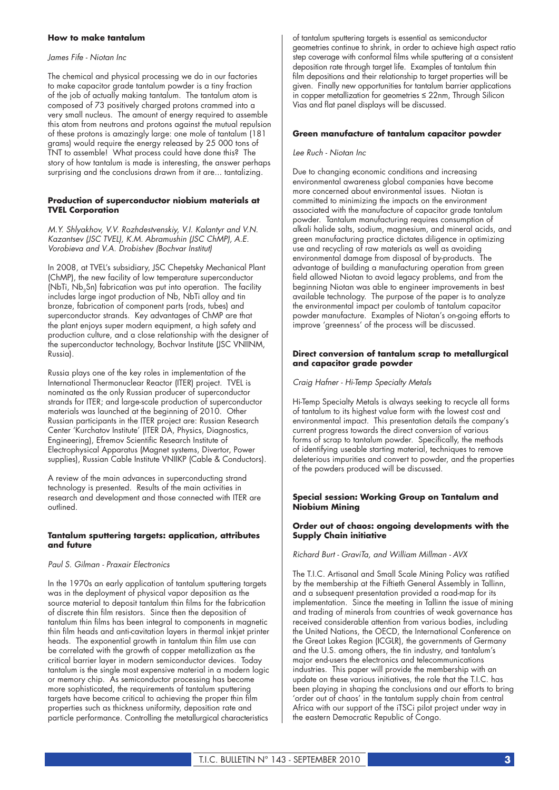### **How to make tantalum**

### *James Fife - Niotan Inc*

The chemical and physical processing we do in our factories to make capacitor grade tantalum powder is a tiny fraction of the job of actually making tantalum. The tantalum atom is composed of 73 positively charged protons crammed into a very small nucleus. The amount of energy required to assemble this atom from neutrons and protons against the mutual repulsion of these protons is amazingly large: one mole of tantalum (181 grams) would require the energy released by 25 000 tons of TNT to assemble! What process could have done this? The story of how tantalum is made is interesting, the answer perhaps surprising and the conclusions drawn from it are... tantalizing.

#### **Production of superconductor niobium materials at TVEL Corporation**

*M.Y. Shlyakhov, V.V. Rozhdestvenskiy, V.I. Kalantyr and V.N. Kazantsev (JSC TVEL), K.M. Abramushin (JSC ChMP), A.E. Vorobieva and V.A. Drobishev (Bochvar Institut)*

In 2008, at TVEL's subsidiary, JSC Chepetsky Mechanical Plant (ChMP), the new facility of low temperature superconductor (NbTi, Nb<sub>3</sub>Sn) fabrication was put into operation. The facility includes large ingot production of Nb, NbTi alloy and tin bronze, fabrication of component parts (rods, tubes) and superconductor strands. Key advantages of ChMP are that the plant enjoys super modern equipment, a high safety and production culture, and a close relationship with the designer of the superconductor technology, Bochvar Institute (JSC VNIINM, Russia).

Russia plays one of the key roles in implementation of the International Thermonuclear Reactor (ITER) project. TVEL is nominated as the only Russian producer of superconductor strands for ITER; and large-scale production of superconductor materials was launched at the beginning of 2010. Other Russian participants in the ITER project are: Russian Research Center 'Kurchatov Institute' (ITER DA, Physics, Diagnostics, Engineering), Efremov Scientific Research Institute of Electrophysical Apparatus (Magnet systems, Divertor, Power supplies), Russian Cable Institute VNIIKP (Cable & Conductors).

A review of the main advances in superconducting strand technology is presented. Results of the main activities in research and development and those connected with ITER are outlined.

#### **Tantalum sputtering targets: application, attributes and future**

#### *Paul S. Gilman - Praxair Electronics*

In the 1970s an early application of tantalum sputtering targets was in the deployment of physical vapor deposition as the source material to deposit tantalum thin films for the fabrication of discrete thin film resistors. Since then the deposition of tantalum thin films has been integral to components in magnetic thin film heads and anti-cavitation layers in thermal inkjet printer heads. The exponential growth in tantalum thin film use can be correlated with the growth of copper metallization as the critical barrier layer in modern semiconductor devices. Today tantalum is the single most expensive material in a modern logic or memory chip. As semiconductor processing has become more sophisticated, the requirements of tantalum sputtering targets have become critical to achieving the proper thin film properties such as thickness uniformity, deposition rate and particle performance. Controlling the metallurgical characteristics

of tantalum sputtering targets is essential as semiconductor geometries continue to shrink, in order to achieve high aspect ratio step coverage with conformal films while sputtering at a consistent deposition rate through target life. Examples of tantalum thin film depositions and their relationship to target properties will be given. Finally new opportunities for tantalum barrier applications in copper metallization for geometries ≤ 22nm, Through Silicon Vias and flat panel displays will be discussed.

#### **Green manufacture of tantalum capacitor powder**

#### *Lee Ruch - Niotan Inc*

Due to changing economic conditions and increasing environmental awareness global companies have become more concerned about environmental issues. Niotan is committed to minimizing the impacts on the environment associated with the manufacture of capacitor grade tantalum powder. Tantalum manufacturing requires consumption of alkali halide salts, sodium, magnesium, and mineral acids, and green manufacturing practice dictates diligence in optimizing use and recycling of raw materials as well as avoiding environmental damage from disposal of by-products. The advantage of building a manufacturing operation from green field allowed Niotan to avoid legacy problems, and from the beginning Niotan was able to engineer improvements in best available technology. The purpose of the paper is to analyze the environmental impact per coulomb of tantalum capacitor powder manufacture. Examples of Niotan's on-going efforts to improve 'greenness' of the process will be discussed.

#### **Direct conversion of tantalum scrap to metallurgical and capacitor grade powder**

#### *Craig Hafner - Hi-Temp Specialty Metals*

Hi-Temp Specialty Metals is always seeking to recycle all forms of tantalum to its highest value form with the lowest cost and environmental impact. This presentation details the company's current progress towards the direct conversion of various forms of scrap to tantalum powder. Specifically, the methods of identifying useable starting material, techniques to remove deleterious impurities and convert to powder, and the properties of the powders produced will be discussed.

#### **Special session: Working Group on Tantalum and Niobium Mining**

#### **Order out of chaos: ongoing developments with the Supply Chain initiative**

*Richard Burt - GraviTa, and William Millman - AVX*

The T.I.C. Artisanal and Small Scale Mining Policy was ratified by the membership at the Fiftieth General Assembly in Tallinn, and a subsequent presentation provided a road-map for its implementation. Since the meeting in Tallinn the issue of mining and trading of minerals from countries of weak governance has received considerable attention from various bodies, including the United Nations, the OECD, the International Conference on the Great Lakes Region (ICGLR), the governments of Germany and the U.S. among others, the tin industry, and tantalum's major end-users the electronics and telecommunications industries. This paper will provide the membership with an update on these various initiatives, the role that the T.I.C. has been playing in shaping the conclusions and our efforts to bring 'order out of chaos' in the tantalum supply chain from central Africa with our support of the iTSCi pilot project under way in the eastern Democratic Republic of Congo.